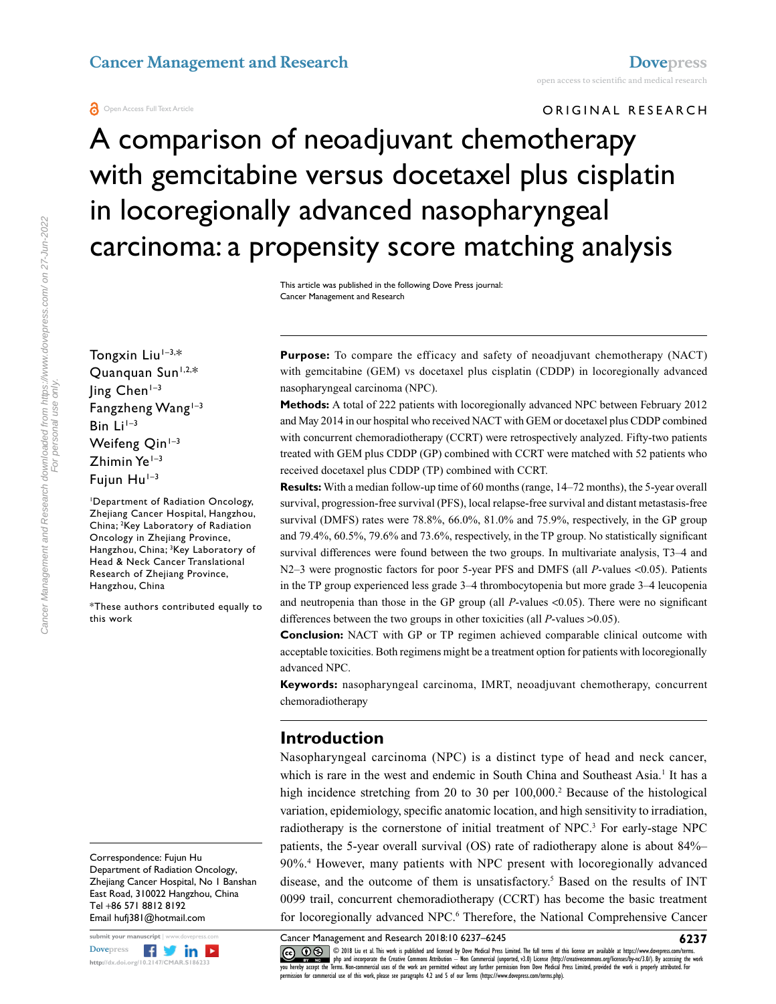ORIGINAL RESEARCH

# A comparison of neoadjuvant chemotherapy with gemcitabine versus docetaxel plus cisplatin in locoregionally advanced nasopharyngeal carcinoma: a propensity score matching analysis

This article was published in the following Dove Press journal: Cancer Management and Research

**Purpose:** To compare the efficacy and safety of neoadjuvant chemotherapy (NACT) with gemcitabine (GEM) vs docetaxel plus cisplatin (CDDP) in locoregionally advanced nasopharyngeal carcinoma (NPC).

**Methods:** A total of 222 patients with locoregionally advanced NPC between February 2012 and May 2014 in our hospital who received NACT with GEM or docetaxel plus CDDP combined with concurrent chemoradiotherapy (CCRT) were retrospectively analyzed. Fifty-two patients treated with GEM plus CDDP (GP) combined with CCRT were matched with 52 patients who received docetaxel plus CDDP (TP) combined with CCRT.

**Results:** With a median follow-up time of 60 months (range, 14–72 months), the 5-year overall survival, progression-free survival (PFS), local relapse-free survival and distant metastasis-free survival (DMFS) rates were 78.8%, 66.0%, 81.0% and 75.9%, respectively, in the GP group and 79.4%, 60.5%, 79.6% and 73.6%, respectively, in the TP group. No statistically significant survival differences were found between the two groups. In multivariate analysis, T3–4 and N2–3 were prognostic factors for poor 5-year PFS and DMFS (all *P*-values <0.05). Patients in the TP group experienced less grade 3–4 thrombocytopenia but more grade 3–4 leucopenia and neutropenia than those in the GP group (all *P*-values <0.05). There were no significant differences between the two groups in other toxicities (all *P*-values >0.05).

**Conclusion:** NACT with GP or TP regimen achieved comparable clinical outcome with acceptable toxicities. Both regimens might be a treatment option for patients with locoregionally advanced NPC.

**Keywords:** nasopharyngeal carcinoma, IMRT, neoadjuvant chemotherapy, concurrent chemoradiotherapy

#### **Introduction**

Nasopharyngeal carcinoma (NPC) is a distinct type of head and neck cancer, which is rare in the west and endemic in South China and Southeast Asia.<sup>1</sup> It has a high incidence stretching from 20 to 30 per 100,000.<sup>2</sup> Because of the histological variation, epidemiology, specific anatomic location, and high sensitivity to irradiation, radiotherapy is the cornerstone of initial treatment of NPC.<sup>3</sup> For early-stage NPC patients, the 5-year overall survival (OS) rate of radiotherapy alone is about 84%– 90%.4 However, many patients with NPC present with locoregionally advanced disease, and the outcome of them is unsatisfactory.<sup>5</sup> Based on the results of INT 0099 trail, concurrent chemoradiotherapy (CCRT) has become the basic treatment for locoregionally advanced NPC.<sup>6</sup> Therefore, the National Comprehensive Cancer

Cancer Management and Research 2018:10 6237–6245

Tongxin Liu $1-3,$ \* Quanquan Sun<sup>1,2,\*</sup>  $\ln g$  Chen<sup>1-3</sup> Fangzheng Wang $1-3$ Bin Li<sup>1-3</sup> Weifeng  $Q$ in<sup> $1-3$ </sup>  $Z$ himin Ye $1-3$ Fujun  $Hu^{1-3}$ 1 Department of Radiation Oncology, Zhejiang Cancer Hospital, Hangzhou, China; 2 Key Laboratory of Radiation

Cancer Management and Research downloaded from https://www.dovepress.com/ on 27-Jun-2022 For personal use only.

Cancer Management and Research downloaded from https://www.dovepress.com/ on 27-Jun-2022 For personal use only

> Correspondence: Fujun Hu Department of Radiation Oncology, Zhejiang Cancer Hospital, No 1 Banshan East Road, 310022 Hangzhou, China Tel +86 571 8812 8192 Email hufj381@hotmail.com

Oncology in Zhejiang Province, Hangzhou, China; <sup>3</sup>Key Laboratory of Head & Neck Cancer Translational Research of Zhejiang Province,

\*These authors contributed equally to

Hangzhou, China

this work

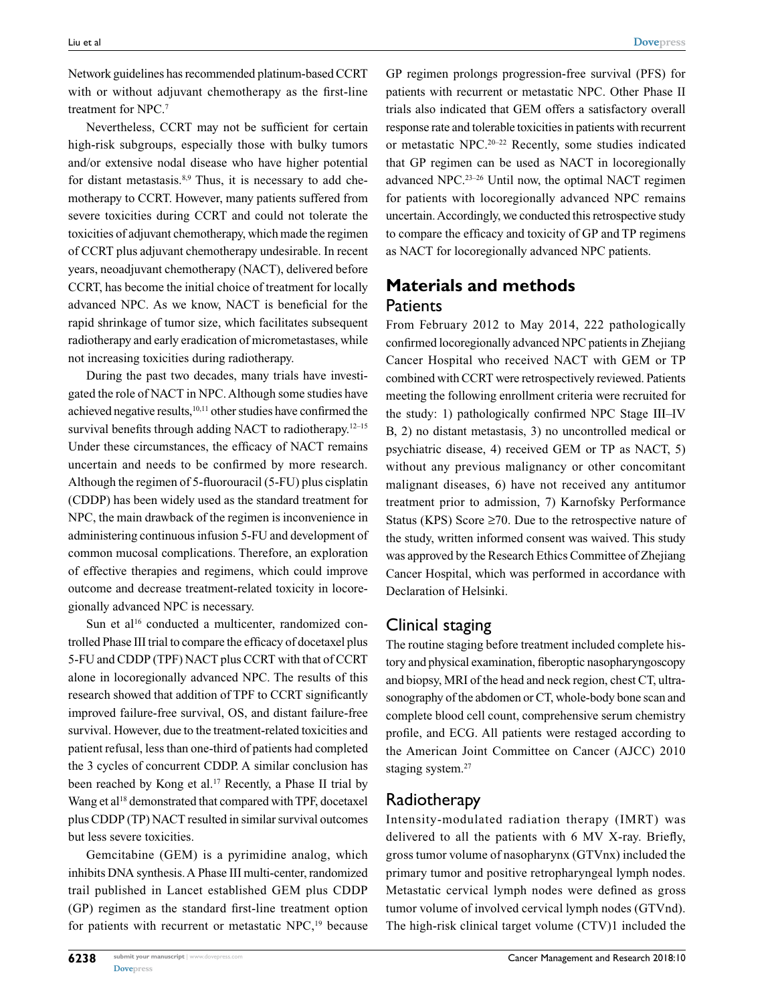Network guidelines has recommended platinum-based CCRT with or without adjuvant chemotherapy as the first-line treatment for NPC.7

Nevertheless, CCRT may not be sufficient for certain high-risk subgroups, especially those with bulky tumors and/or extensive nodal disease who have higher potential for distant metastasis.<sup>8,9</sup> Thus, it is necessary to add chemotherapy to CCRT. However, many patients suffered from severe toxicities during CCRT and could not tolerate the toxicities of adjuvant chemotherapy, which made the regimen of CCRT plus adjuvant chemotherapy undesirable. In recent years, neoadjuvant chemotherapy (NACT), delivered before CCRT, has become the initial choice of treatment for locally advanced NPC. As we know, NACT is beneficial for the rapid shrinkage of tumor size, which facilitates subsequent radiotherapy and early eradication of micrometastases, while not increasing toxicities during radiotherapy.

During the past two decades, many trials have investigated the role of NACT in NPC. Although some studies have achieved negative results,10,11 other studies have confirmed the survival benefits through adding NACT to radiotherapy.<sup>12–15</sup> Under these circumstances, the efficacy of NACT remains uncertain and needs to be confirmed by more research. Although the regimen of 5-fluorouracil (5-FU) plus cisplatin (CDDP) has been widely used as the standard treatment for NPC, the main drawback of the regimen is inconvenience in administering continuous infusion 5-FU and development of common mucosal complications. Therefore, an exploration of effective therapies and regimens, which could improve outcome and decrease treatment-related toxicity in locoregionally advanced NPC is necessary.

Sun et al<sup>16</sup> conducted a multicenter, randomized controlled Phase III trial to compare the efficacy of docetaxel plus 5-FU and CDDP (TPF) NACT plus CCRT with that of CCRT alone in locoregionally advanced NPC. The results of this research showed that addition of TPF to CCRT significantly improved failure-free survival, OS, and distant failure-free survival. However, due to the treatment-related toxicities and patient refusal, less than one-third of patients had completed the 3 cycles of concurrent CDDP. A similar conclusion has been reached by Kong et al.<sup>17</sup> Recently, a Phase II trial by Wang et al<sup>18</sup> demonstrated that compared with TPF, docetaxel plus CDDP (TP) NACT resulted in similar survival outcomes but less severe toxicities.

Gemcitabine (GEM) is a pyrimidine analog, which inhibits DNA synthesis. A Phase III multi-center, randomized trail published in Lancet established GEM plus CDDP (GP) regimen as the standard first-line treatment option for patients with recurrent or metastatic NPC,<sup>19</sup> because GP regimen prolongs progression-free survival (PFS) for patients with recurrent or metastatic NPC. Other Phase II trials also indicated that GEM offers a satisfactory overall response rate and tolerable toxicities in patients with recurrent or metastatic NPC.20–22 Recently, some studies indicated that GP regimen can be used as NACT in locoregionally advanced NPC.23–26 Until now, the optimal NACT regimen for patients with locoregionally advanced NPC remains uncertain. Accordingly, we conducted this retrospective study to compare the efficacy and toxicity of GP and TP regimens as NACT for locoregionally advanced NPC patients.

## **Materials and methods Patients**

From February 2012 to May 2014, 222 pathologically confirmed locoregionally advanced NPC patients in Zhejiang Cancer Hospital who received NACT with GEM or TP combined with CCRT were retrospectively reviewed. Patients meeting the following enrollment criteria were recruited for the study: 1) pathologically confirmed NPC Stage III–IV B, 2) no distant metastasis, 3) no uncontrolled medical or psychiatric disease, 4) received GEM or TP as NACT, 5) without any previous malignancy or other concomitant malignant diseases, 6) have not received any antitumor treatment prior to admission, 7) Karnofsky Performance Status (KPS) Score  $\geq 70$ . Due to the retrospective nature of the study, written informed consent was waived. This study was approved by the Research Ethics Committee of Zhejiang Cancer Hospital, which was performed in accordance with Declaration of Helsinki.

#### Clinical staging

The routine staging before treatment included complete history and physical examination, fiberoptic nasopharyngoscopy and biopsy, MRI of the head and neck region, chest CT, ultrasonography of the abdomen or CT, whole-body bone scan and complete blood cell count, comprehensive serum chemistry profile, and ECG. All patients were restaged according to the American Joint Committee on Cancer (AJCC) 2010 staging system.<sup>27</sup>

#### Radiotherapy

Intensity-modulated radiation therapy (IMRT) was delivered to all the patients with 6 MV X-ray. Briefly, gross tumor volume of nasopharynx (GTVnx) included the primary tumor and positive retropharyngeal lymph nodes. Metastatic cervical lymph nodes were defined as gross tumor volume of involved cervical lymph nodes (GTVnd). The high-risk clinical target volume (CTV)1 included the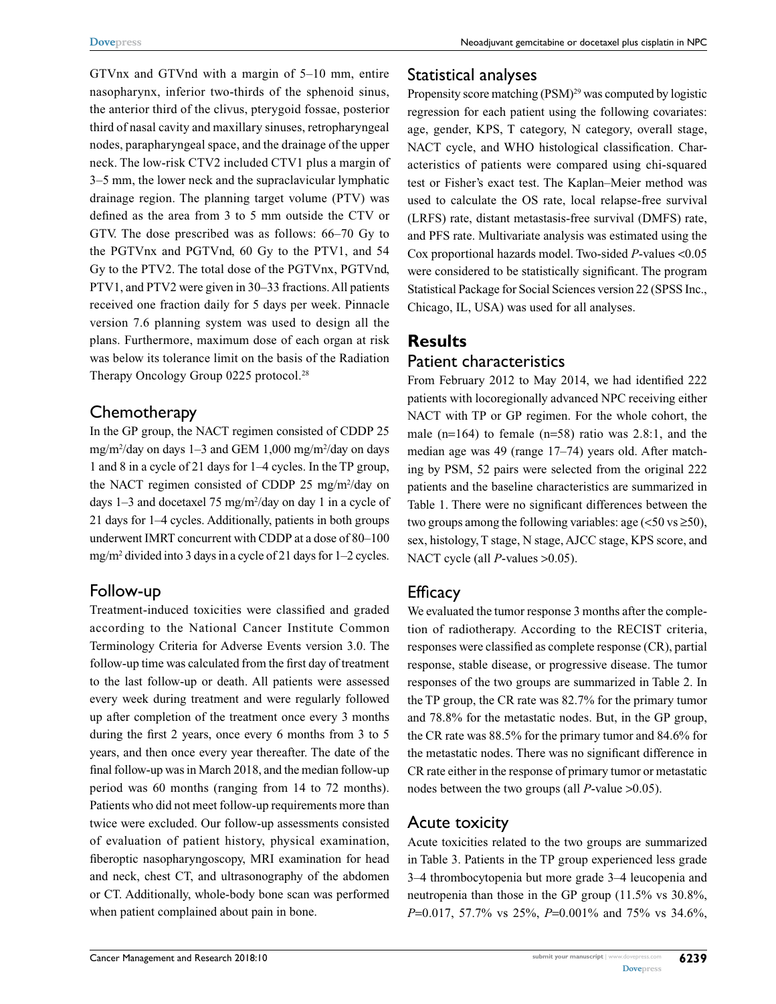GTVnx and GTVnd with a margin of 5–10 mm, entire nasopharynx, inferior two-thirds of the sphenoid sinus, the anterior third of the clivus, pterygoid fossae, posterior third of nasal cavity and maxillary sinuses, retropharyngeal nodes, parapharyngeal space, and the drainage of the upper neck. The low-risk CTV2 included CTV1 plus a margin of 3–5 mm, the lower neck and the supraclavicular lymphatic drainage region. The planning target volume (PTV) was defined as the area from 3 to 5 mm outside the CTV or GTV. The dose prescribed was as follows: 66–70 Gy to the PGTVnx and PGTVnd, 60 Gy to the PTV1, and 54 Gy to the PTV2. The total dose of the PGTVnx, PGTVnd, PTV1, and PTV2 were given in 30–33 fractions. All patients received one fraction daily for 5 days per week. Pinnacle version 7.6 planning system was used to design all the plans. Furthermore, maximum dose of each organ at risk was below its tolerance limit on the basis of the Radiation Therapy Oncology Group 0225 protocol.<sup>28</sup>

#### **Chemotherapy**

In the GP group, the NACT regimen consisted of CDDP 25 mg/m2 /day on days 1–3 and GEM 1,000 mg/m2 /day on days 1 and 8 in a cycle of 21 days for 1–4 cycles. In the TP group, the NACT regimen consisted of CDDP 25 mg/m2 /day on days  $1-3$  and docetaxel 75 mg/m<sup>2</sup>/day on day 1 in a cycle of 21 days for 1–4 cycles. Additionally, patients in both groups underwent IMRT concurrent with CDDP at a dose of 80–100 mg/m2 divided into 3 days in a cycle of 21 days for 1–2 cycles.

#### Follow-up

Treatment-induced toxicities were classified and graded according to the National Cancer Institute Common Terminology Criteria for Adverse Events version 3.0. The follow-up time was calculated from the first day of treatment to the last follow-up or death. All patients were assessed every week during treatment and were regularly followed up after completion of the treatment once every 3 months during the first 2 years, once every 6 months from 3 to 5 years, and then once every year thereafter. The date of the final follow-up was in March 2018, and the median follow-up period was 60 months (ranging from 14 to 72 months). Patients who did not meet follow-up requirements more than twice were excluded. Our follow-up assessments consisted of evaluation of patient history, physical examination, fiberoptic nasopharyngoscopy, MRI examination for head and neck, chest CT, and ultrasonography of the abdomen or CT. Additionally, whole-body bone scan was performed when patient complained about pain in bone.

#### Statistical analyses

Propensity score matching (PSM)<sup>29</sup> was computed by logistic regression for each patient using the following covariates: age, gender, KPS, T category, N category, overall stage, NACT cycle, and WHO histological classification. Characteristics of patients were compared using chi-squared test or Fisher's exact test. The Kaplan–Meier method was used to calculate the OS rate, local relapse-free survival (LRFS) rate, distant metastasis-free survival (DMFS) rate, and PFS rate. Multivariate analysis was estimated using the Cox proportional hazards model. Two-sided *P*-values <0.05 were considered to be statistically significant. The program Statistical Package for Social Sciences version 22 (SPSS Inc., Chicago, IL, USA) was used for all analyses.

## **Results** Patient characteristics

From February 2012 to May 2014, we had identified 222 patients with locoregionally advanced NPC receiving either NACT with TP or GP regimen. For the whole cohort, the male (n=164) to female (n=58) ratio was  $2.8:1$ , and the median age was 49 (range 17–74) years old. After matching by PSM, 52 pairs were selected from the original 222 patients and the baseline characteristics are summarized in Table 1. There were no significant differences between the two groups among the following variables: age  $(<50 \text{ vs } \geq 50)$ , sex, histology, T stage, N stage, AJCC stage, KPS score, and NACT cycle (all *P*-values >0.05).

#### **Efficacy**

We evaluated the tumor response 3 months after the completion of radiotherapy. According to the RECIST criteria, responses were classified as complete response (CR), partial response, stable disease, or progressive disease. The tumor responses of the two groups are summarized in Table 2. In the TP group, the CR rate was 82.7% for the primary tumor and 78.8% for the metastatic nodes. But, in the GP group, the CR rate was 88.5% for the primary tumor and 84.6% for the metastatic nodes. There was no significant difference in CR rate either in the response of primary tumor or metastatic nodes between the two groups (all *P*-value >0.05).

#### Acute toxicity

Acute toxicities related to the two groups are summarized in Table 3. Patients in the TP group experienced less grade 3–4 thrombocytopenia but more grade 3–4 leucopenia and neutropenia than those in the GP group (11.5% vs 30.8%, *P*=0.017, 57.7% vs 25%, *P*=0.001% and 75% vs 34.6%,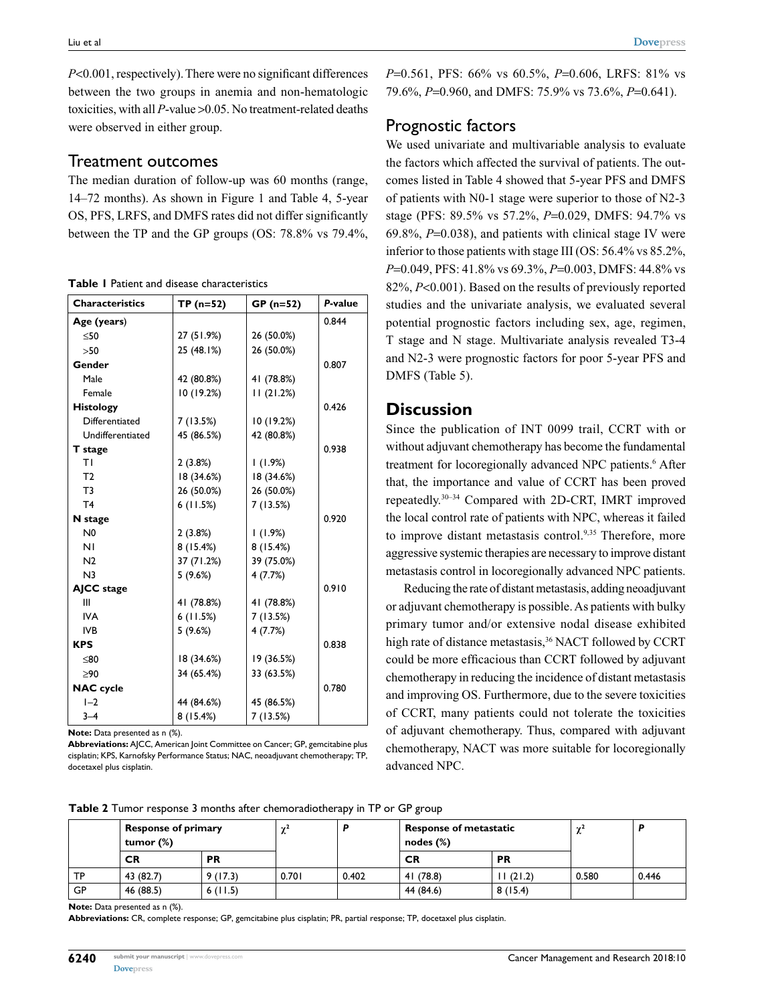*P*<0.001, respectively). There were no significant differences between the two groups in anemia and non-hematologic toxicities, with all *P*-value >0.05. No treatment-related deaths were observed in either group.

#### Treatment outcomes

The median duration of follow-up was 60 months (range, 14–72 months). As shown in Figure 1 and Table 4, 5-year OS, PFS, LRFS, and DMFS rates did not differ significantly between the TP and the GP groups (OS: 78.8% vs 79.4%,

**Table 1** Patient and disease characteristics

| <b>Characteristics</b> | $TP(n=52)$ | $GP (n=52)$ | P-value |
|------------------------|------------|-------------|---------|
| Age (years)            |            |             | 0.844   |
| $<$ 50                 | 27 (51.9%) | 26 (50.0%)  |         |
| >50                    | 25 (48.1%) | 26 (50.0%)  |         |
| Gender                 |            |             | 0.807   |
| Male                   | 42 (80.8%) | 41 (78.8%)  |         |
| Female                 | 10 (19.2%) | 11(21.2%)   |         |
| <b>Histology</b>       |            |             | 0.426   |
| Differentiated         | 7 (13.5%)  | 10 (19.2%)  |         |
| Undifferentiated       | 45 (86.5%) | 42 (80.8%)  |         |
| T stage                |            |             | 0.938   |
| TΙ                     | 2(3.8%)    | 1(1.9%)     |         |
| T <sub>2</sub>         | 18 (34.6%) | 18 (34.6%)  |         |
| T <sub>3</sub>         | 26 (50.0%) | 26 (50.0%)  |         |
| T <sub>4</sub>         | 6(11.5%)   | 7(13.5%)    |         |
| N stage                |            |             | 0.920   |
| N <sub>0</sub>         | 2(3.8%)    | $(1.9\%)$   |         |
| ΝI                     | 8(15.4%)   | 8(15.4%)    |         |
| N <sub>2</sub>         | 37 (71.2%) | 39 (75.0%)  |         |
| N <sub>3</sub>         | 5(9.6%)    | 4(7.7%)     |         |
| AJCC stage             |            |             | 0.910   |
| Ш                      | 41 (78.8%) | 41 (78.8%)  |         |
| <b>IVA</b>             | 6(11.5%)   | 7(13.5%)    |         |
| <b>IVB</b>             | 5(9.6%)    | 4(7.7%)     |         |
| <b>KPS</b>             |            |             | 0.838   |
| ≤80                    | 18 (34.6%) | 19 (36.5%)  |         |
| $\geq 90$              | 34 (65.4%) | 33 (63.5%)  |         |
| <b>NAC</b> cycle       |            |             | 0.780   |
| $I-2$                  | 44 (84.6%) | 45 (86.5%)  |         |
| $3 - 4$                | 8(15.4%)   | 7 (13.5%)   |         |

**Note:** Data presented as n (%).

**Abbreviations:** AJCC, American Joint Committee on Cancer; GP, gemcitabine plus cisplatin; KPS, Karnofsky Performance Status; NAC, neoadjuvant chemotherapy; TP, docetaxel plus cisplatin.

*P*=0.561, PFS: 66% vs 60.5%, *P*=0.606, LRFS: 81% vs 79.6%, *P*=0.960, and DMFS: 75.9% vs 73.6%, *P*=0.641).

#### Prognostic factors

We used univariate and multivariable analysis to evaluate the factors which affected the survival of patients. The outcomes listed in Table 4 showed that 5-year PFS and DMFS of patients with N0-1 stage were superior to those of N2-3 stage (PFS: 89.5% vs 57.2%, *P*=0.029, DMFS: 94.7% vs 69.8%, *P*=0.038), and patients with clinical stage IV were inferior to those patients with stage III (OS: 56.4% vs 85.2%, *P*=0.049, PFS: 41.8% vs 69.3%, *P*=0.003, DMFS: 44.8% vs 82%, *P*<0.001). Based on the results of previously reported studies and the univariate analysis, we evaluated several potential prognostic factors including sex, age, regimen, T stage and N stage. Multivariate analysis revealed T3-4 and N2-3 were prognostic factors for poor 5-year PFS and DMFS (Table 5).

#### **Discussion**

Since the publication of INT 0099 trail, CCRT with or without adjuvant chemotherapy has become the fundamental treatment for locoregionally advanced NPC patients.<sup>6</sup> After that, the importance and value of CCRT has been proved repeatedly.30–34 Compared with 2D-CRT, IMRT improved the local control rate of patients with NPC, whereas it failed to improve distant metastasis control.<sup>9,35</sup> Therefore, more aggressive systemic therapies are necessary to improve distant metastasis control in locoregionally advanced NPC patients.

Reducing the rate of distant metastasis, adding neoadjuvant or adjuvant chemotherapy is possible. As patients with bulky primary tumor and/or extensive nodal disease exhibited high rate of distance metastasis,<sup>36</sup> NACT followed by CCRT could be more efficacious than CCRT followed by adjuvant chemotherapy in reducing the incidence of distant metastasis and improving OS. Furthermore, due to the severe toxicities of CCRT, many patients could not tolerate the toxicities of adjuvant chemotherapy. Thus, compared with adjuvant chemotherapy, NACT was more suitable for locoregionally advanced NPC.

**Table 2** Tumor response 3 months after chemoradiotherapy in TP or GP group

|    | Response of primary<br>tumor (%) |           | $\sim$ <sup>2</sup><br>∼ |       | <b>Response of metastatic</b><br>nodes $(\%)$ |           | $\gamma'$ |       |
|----|----------------------------------|-----------|--------------------------|-------|-----------------------------------------------|-----------|-----------|-------|
|    | CR                               | <b>PR</b> |                          |       | <b>CR</b>                                     | <b>PR</b> |           |       |
| ТP | 43 (82.7)                        | 9(17.3)   | 0.701                    | 0.402 | 41 (78.8)                                     | (21.2)    | 0.580     | 0.446 |
| GP | 46 (88.5)                        | 6(11.5)   |                          |       | 44 (84.6)                                     | 8(15.4)   |           |       |

**Note:** Data presented as n (%).

**Abbreviations:** CR, complete response; GP, gemcitabine plus cisplatin; PR, partial response; TP, docetaxel plus cisplatin.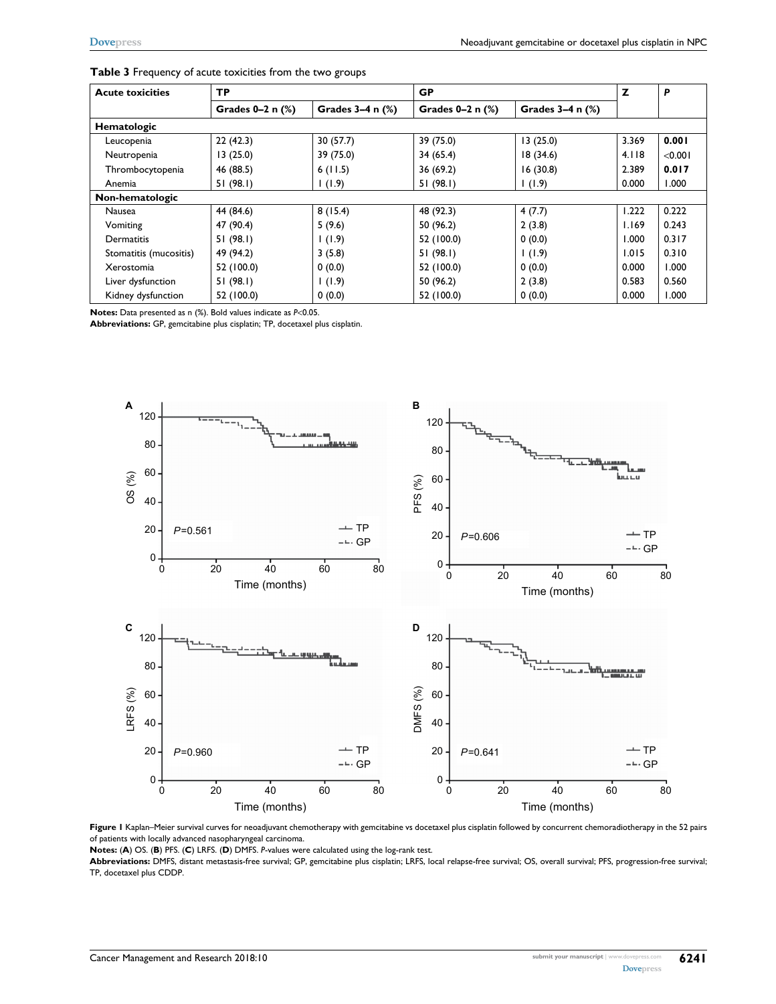| <b>Acute toxicities</b> | <b>TP</b>             |                       | <b>GP</b>             | Z                     | P     |         |
|-------------------------|-----------------------|-----------------------|-----------------------|-----------------------|-------|---------|
|                         | Grades $0-2$ n $(\%)$ | Grades $3-4$ n $(\%)$ | Grades $0-2$ n $(\%)$ | Grades $3-4$ n $(\%)$ |       |         |
| <b>Hematologic</b>      |                       |                       |                       |                       |       |         |
| Leucopenia              | 22(42.3)              | 30(57.7)              | 39 (75.0)             | 13(25.0)              | 3.369 | 0.001   |
| Neutropenia             | 13(25.0)              | 39 (75.0)             | 34(65.4)              | 18(34.6)              | 4.118 | < 0.001 |
| Thrombocytopenia        | 46 (88.5)             | 6(11.5)               | 36(69.2)              | 16(30.8)              | 2.389 | 0.017   |
| Anemia                  | 51(98.1)              | 1(1.9)                | 51(98.1)              | 1(1.9)                | 0.000 | 1.000   |
| Non-hematologic         |                       |                       |                       |                       |       |         |
| Nausea                  | 44 (84.6)             | 8(15.4)               | 48 (92.3)             | 4(7.7)                | 1.222 | 0.222   |
| Vomiting                | 47 (90.4)             | 5(9.6)                | 50 (96.2)             | 2(3.8)                | 1.169 | 0.243   |
| Dermatitis              | 51(98.1)              | 1(1.9)                | 52 (100.0)            | 0(0.0)                | 1.000 | 0.317   |
| Stomatitis (mucositis)  | 49 (94.2)             | 3(5.8)                | 51(98.1)              | 1(1.9)                | 1.015 | 0.310   |
| Xerostomia              | 52 (100.0)            | 0(0.0)                | 52 (100.0)            | 0(0.0)                | 0.000 | 1.000   |
| Liver dysfunction       | 51(98.1)              | 1(1.9)                | 50 (96.2)             | 2(3.8)                | 0.583 | 0.560   |
| Kidney dysfunction      | 52 (100.0)            | 0(0.0)                | 52 (100.0)            | 0(0.0)                | 0.000 | 1.000   |

| Table 3 Frequency of acute toxicities from the two groups |  |  |  |  |
|-----------------------------------------------------------|--|--|--|--|
|-----------------------------------------------------------|--|--|--|--|

**Notes:** Data presented as n (%). Bold values indicate as *P*<0.05.

**Abbreviations:** GP, gemcitabine plus cisplatin; TP, docetaxel plus cisplatin.



Figure I Kaplan–Meier survival curves for neoadjuvant chemotherapy with gemcitabine vs docetaxel plus cisplatin followed by concurrent chemoradiotherapy in the 52 pairs of patients with locally advanced nasopharyngeal carcinoma.

**Notes:** (**A**) OS. (**B**) PFS. (**C**) LRFS. (**D**) DMFS. *P*-values were calculated using the log-rank test.

**Abbreviations:** DMFS, distant metastasis-free survival; GP, gemcitabine plus cisplatin; LRFS, local relapse-free survival; OS, overall survival; PFS, progression-free survival; TP, docetaxel plus CDDP.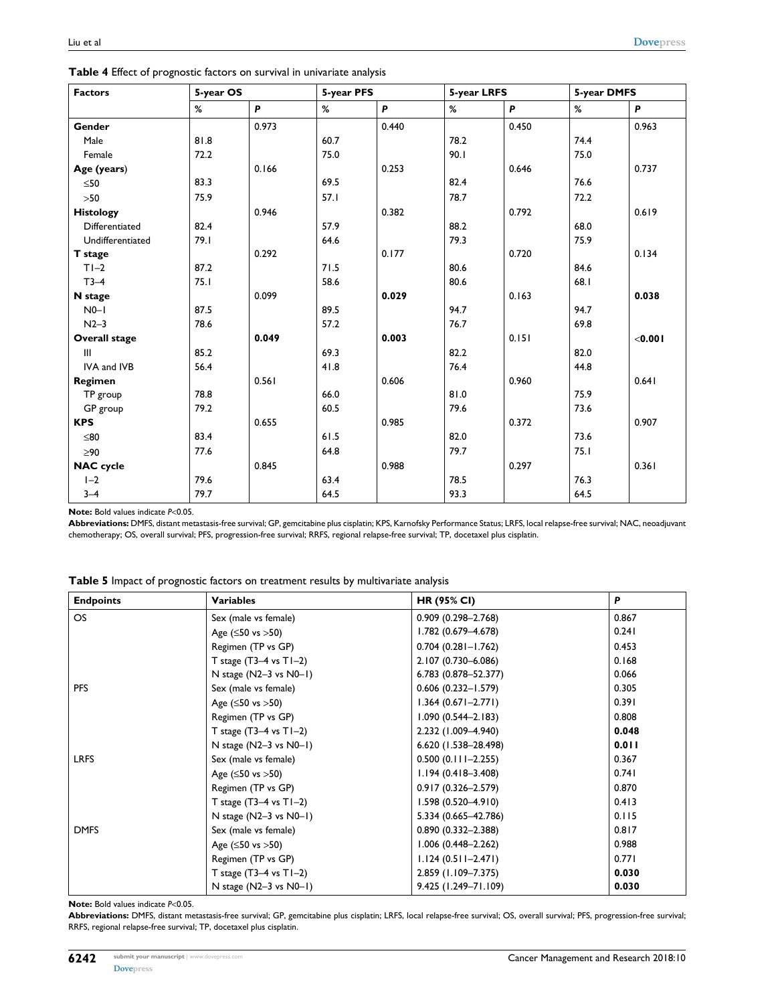| <b>Factors</b>       | 5-year OS |       | 5-year PFS |       | 5-year LRFS |       | 5-year DMFS |         |
|----------------------|-----------|-------|------------|-------|-------------|-------|-------------|---------|
|                      | %         | P     | ℅          | P     | %           | P     | %           | P       |
| Gender               |           | 0.973 |            | 0.440 |             | 0.450 |             | 0.963   |
| Male                 | 81.8      |       | 60.7       |       | 78.2        |       | 74.4        |         |
| Female               | 72.2      |       | 75.0       |       | 90.1        |       | 75.0        |         |
| Age (years)          |           | 0.166 |            | 0.253 |             | 0.646 |             | 0.737   |
| $\leq 50$            | 83.3      |       | 69.5       |       | 82.4        |       | 76.6        |         |
| $>50$                | 75.9      |       | 57.1       |       | 78.7        |       | 72.2        |         |
| <b>Histology</b>     |           | 0.946 |            | 0.382 |             | 0.792 |             | 0.619   |
| Differentiated       | 82.4      |       | 57.9       |       | 88.2        |       | 68.0        |         |
| Undifferentiated     | 79.1      |       | 64.6       |       | 79.3        |       | 75.9        |         |
| T stage              |           | 0.292 |            | 0.177 |             | 0.720 |             | 0.134   |
| $T1-2$               | 87.2      |       | 71.5       |       | 80.6        |       | 84.6        |         |
| $T3-4$               | 75.1      |       | 58.6       |       | 80.6        |       | 68.1        |         |
| N stage              |           | 0.099 |            | 0.029 |             | 0.163 |             | 0.038   |
| $N0-1$               | 87.5      |       | 89.5       |       | 94.7        |       | 94.7        |         |
| $N2-3$               | 78.6      |       | 57.2       |       | 76.7        |       | 69.8        |         |
| <b>Overall stage</b> |           | 0.049 |            | 0.003 |             | 0.151 |             | < 0.001 |
| $\mathbf{III}$       | 85.2      |       | 69.3       |       | 82.2        |       | 82.0        |         |
| IVA and IVB          | 56.4      |       | 41.8       |       | 76.4        |       | 44.8        |         |
| Regimen              |           | 0.561 |            | 0.606 |             | 0.960 |             | 0.641   |
| TP group             | 78.8      |       | 66.0       |       | 81.0        |       | 75.9        |         |
| GP group             | 79.2      |       | 60.5       |       | 79.6        |       | 73.6        |         |
| <b>KPS</b>           |           | 0.655 |            | 0.985 |             | 0.372 |             | 0.907   |
| $≤80$                | 83.4      |       | 61.5       |       | 82.0        |       | 73.6        |         |
| $\geq 90$            | 77.6      |       | 64.8       |       | 79.7        |       | 75.1        |         |
| <b>NAC</b> cycle     |           | 0.845 |            | 0.988 |             | 0.297 |             | 0.361   |
| $1-2$                | 79.6      |       | 63.4       |       | 78.5        |       | 76.3        |         |
| $3 - 4$              | 79.7      |       | 64.5       |       | 93.3        |       | 64.5        |         |

**Table 4** Effect of prognostic factors on survival in univariate analysis

**Note:** Bold values indicate *P*<0.05.

**Abbreviations:** DMFS, distant metastasis-free survival; GP, gemcitabine plus cisplatin; KPS, Karnofsky Performance Status; LRFS, local relapse-free survival; NAC, neoadjuvant chemotherapy; OS, overall survival; PFS, progression-free survival; RRFS, regional relapse-free survival; TP, docetaxel plus cisplatin.

| Table 5 Impact of prognostic factors on treatment results by multivariate analysis |
|------------------------------------------------------------------------------------|
|------------------------------------------------------------------------------------|

| <b>Endpoints</b> | <b>Variables</b>                | <b>HR (95% CI)</b>     | P     |
|------------------|---------------------------------|------------------------|-------|
| OS               | Sex (male vs female)            | $0.909(0.298 - 2.768)$ | 0.867 |
|                  | Age $( \le 50 \text{ vs } >50)$ | 1.782 (0.679-4.678)    | 0.241 |
|                  | Regimen (TP vs GP)              | $0.704$ (0.281-1.762)  | 0.453 |
|                  | T stage $(T3-4$ vs $T1-2)$      | 2.107 (0.730-6.086)    | 0.168 |
|                  | N stage $(N2-3$ vs $N0-1)$      | 6.783 (0.878-52.377)   | 0.066 |
| <b>PFS</b>       | Sex (male vs female)            | $0.606(0.232 - 1.579)$ | 0.305 |
|                  | Age $( \le 50 \text{ vs } >50)$ | $1.364(0.671 - 2.771)$ | 0.391 |
|                  | Regimen (TP vs GP)              | $1.090(0.544 - 2.183)$ | 0.808 |
|                  | T stage $(T3-4$ vs $T1-2)$      | 2.232 (1.009-4.940)    | 0.048 |
|                  | N stage $(N2-3$ vs $N0-1)$      | 6.620 (1.538-28.498)   | 0.011 |
| <b>LRFS</b>      | Sex (male vs female)            | $0.500(0.111 - 2.255)$ | 0.367 |
|                  | Age $( \le 50 \text{ vs } >50)$ | $1.194(0.418 - 3.408)$ | 0.741 |
|                  | Regimen (TP vs GP)              | $0.917(0.326 - 2.579)$ | 0.870 |
|                  | T stage $(T3-4$ vs $T1-2)$      | $1.598(0.520 - 4.910)$ | 0.413 |
|                  | N stage $(N2-3$ vs $N0-1)$      | 5.334 (0.665-42.786)   | 0.115 |
| <b>DMFS</b>      | Sex (male vs female)            | $0.890(0.332 - 2.388)$ | 0.817 |
|                  | Age $( \le 50 \text{ vs } >50)$ | $1.006(0.448 - 2.262)$ | 0.988 |
|                  | Regimen (TP vs GP)              | $1.124(0.511 - 2.471)$ | 0.771 |
|                  | T stage $(T3-4$ vs $T1-2)$      | 2.859 (1.109-7.375)    | 0.030 |
|                  | N stage (N2-3 vs N0-1)          | 9.425 (1.249-71.109)   | 0.030 |

**Note:** Bold values indicate *P*<0.05.

**Abbreviations:** DMFS, distant metastasis-free survival; GP, gemcitabine plus cisplatin; LRFS, local relapse-free survival; OS, overall survival; PFS, progression-free survival; RRFS, regional relapse-free survival; TP, docetaxel plus cisplatin.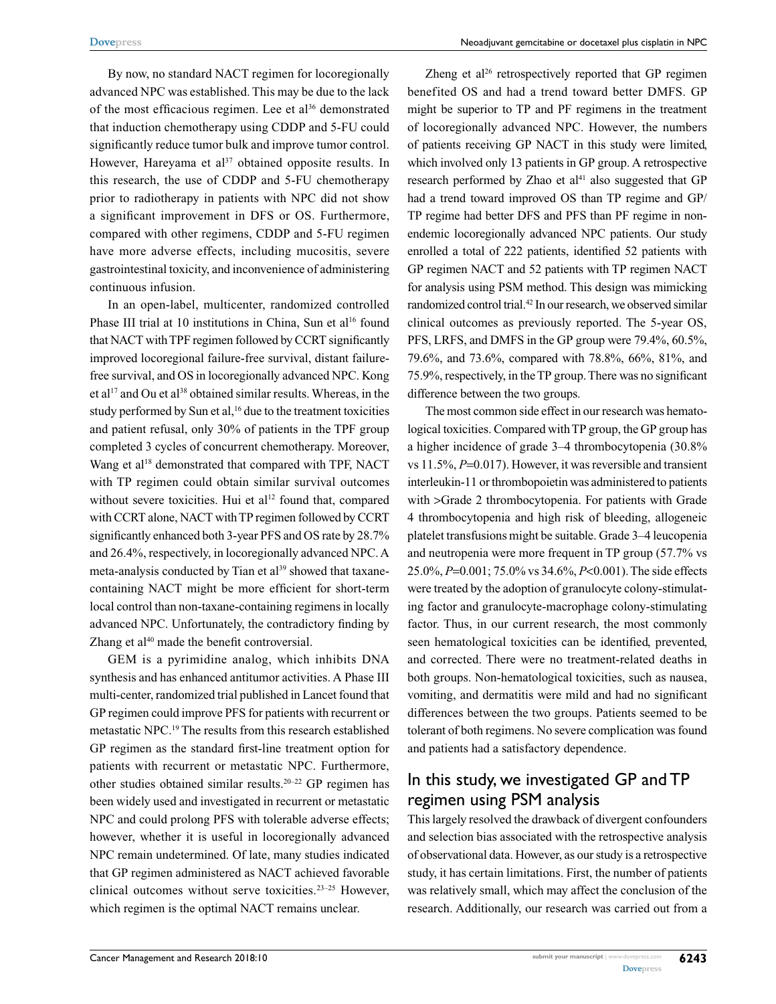By now, no standard NACT regimen for locoregionally advanced NPC was established. This may be due to the lack of the most efficacious regimen. Lee et al<sup>36</sup> demonstrated that induction chemotherapy using CDDP and 5-FU could significantly reduce tumor bulk and improve tumor control. However, Hareyama et al<sup>37</sup> obtained opposite results. In this research, the use of CDDP and 5-FU chemotherapy prior to radiotherapy in patients with NPC did not show a significant improvement in DFS or OS. Furthermore, compared with other regimens, CDDP and 5-FU regimen have more adverse effects, including mucositis, severe gastrointestinal toxicity, and inconvenience of administering continuous infusion.

In an open-label, multicenter, randomized controlled Phase III trial at 10 institutions in China, Sun et al<sup>16</sup> found that NACT with TPF regimen followed by CCRT significantly improved locoregional failure-free survival, distant failurefree survival, and OS in locoregionally advanced NPC. Kong et al<sup>17</sup> and Ou et al<sup>38</sup> obtained similar results. Whereas, in the study performed by Sun et al,<sup>16</sup> due to the treatment toxicities and patient refusal, only 30% of patients in the TPF group completed 3 cycles of concurrent chemotherapy. Moreover, Wang et al<sup>18</sup> demonstrated that compared with TPF, NACT with TP regimen could obtain similar survival outcomes without severe toxicities. Hui et al<sup>12</sup> found that, compared with CCRT alone, NACT with TP regimen followed by CCRT significantly enhanced both 3-year PFS and OS rate by 28.7% and 26.4%, respectively, in locoregionally advanced NPC. A meta-analysis conducted by Tian et al<sup>39</sup> showed that taxanecontaining NACT might be more efficient for short-term local control than non-taxane-containing regimens in locally advanced NPC. Unfortunately, the contradictory finding by Zhang et al<sup>40</sup> made the benefit controversial.

GEM is a pyrimidine analog, which inhibits DNA synthesis and has enhanced antitumor activities. A Phase III multi-center, randomized trial published in Lancet found that GP regimen could improve PFS for patients with recurrent or metastatic NPC.19 The results from this research established GP regimen as the standard first-line treatment option for patients with recurrent or metastatic NPC. Furthermore, other studies obtained similar results.20–22 GP regimen has been widely used and investigated in recurrent or metastatic NPC and could prolong PFS with tolerable adverse effects; however, whether it is useful in locoregionally advanced NPC remain undetermined. Of late, many studies indicated that GP regimen administered as NACT achieved favorable clinical outcomes without serve toxicities.23–25 However, which regimen is the optimal NACT remains unclear.

Zheng et al<sup>26</sup> retrospectively reported that GP regimen benefited OS and had a trend toward better DMFS. GP might be superior to TP and PF regimens in the treatment of locoregionally advanced NPC. However, the numbers of patients receiving GP NACT in this study were limited, which involved only 13 patients in GP group. A retrospective research performed by Zhao et  $al<sup>41</sup>$  also suggested that GP had a trend toward improved OS than TP regime and GP/ TP regime had better DFS and PFS than PF regime in nonendemic locoregionally advanced NPC patients. Our study enrolled a total of 222 patients, identified 52 patients with GP regimen NACT and 52 patients with TP regimen NACT for analysis using PSM method. This design was mimicking randomized control trial.42 In our research, we observed similar clinical outcomes as previously reported. The 5-year OS, PFS, LRFS, and DMFS in the GP group were 79.4%, 60.5%, 79.6%, and 73.6%, compared with 78.8%, 66%, 81%, and 75.9%, respectively, in the TP group. There was no significant difference between the two groups.

The most common side effect in our research was hematological toxicities. Compared with TP group, the GP group has a higher incidence of grade 3–4 thrombocytopenia (30.8% vs 11.5%, *P*=0.017). However, it was reversible and transient interleukin-11 or thrombopoietin was administered to patients with >Grade 2 thrombocytopenia. For patients with Grade 4 thrombocytopenia and high risk of bleeding, allogeneic platelet transfusions might be suitable. Grade 3–4 leucopenia and neutropenia were more frequent in TP group (57.7% vs 25.0%, *P*=0.001; 75.0% vs 34.6%, *P*<0.001). The side effects were treated by the adoption of granulocyte colony-stimulating factor and granulocyte-macrophage colony-stimulating factor. Thus, in our current research, the most commonly seen hematological toxicities can be identified, prevented, and corrected. There were no treatment-related deaths in both groups. Non-hematological toxicities, such as nausea, vomiting, and dermatitis were mild and had no significant differences between the two groups. Patients seemed to be tolerant of both regimens. No severe complication was found and patients had a satisfactory dependence.

#### In this study, we investigated GP and TP regimen using PSM analysis

This largely resolved the drawback of divergent confounders and selection bias associated with the retrospective analysis of observational data. However, as our study is a retrospective study, it has certain limitations. First, the number of patients was relatively small, which may affect the conclusion of the research. Additionally, our research was carried out from a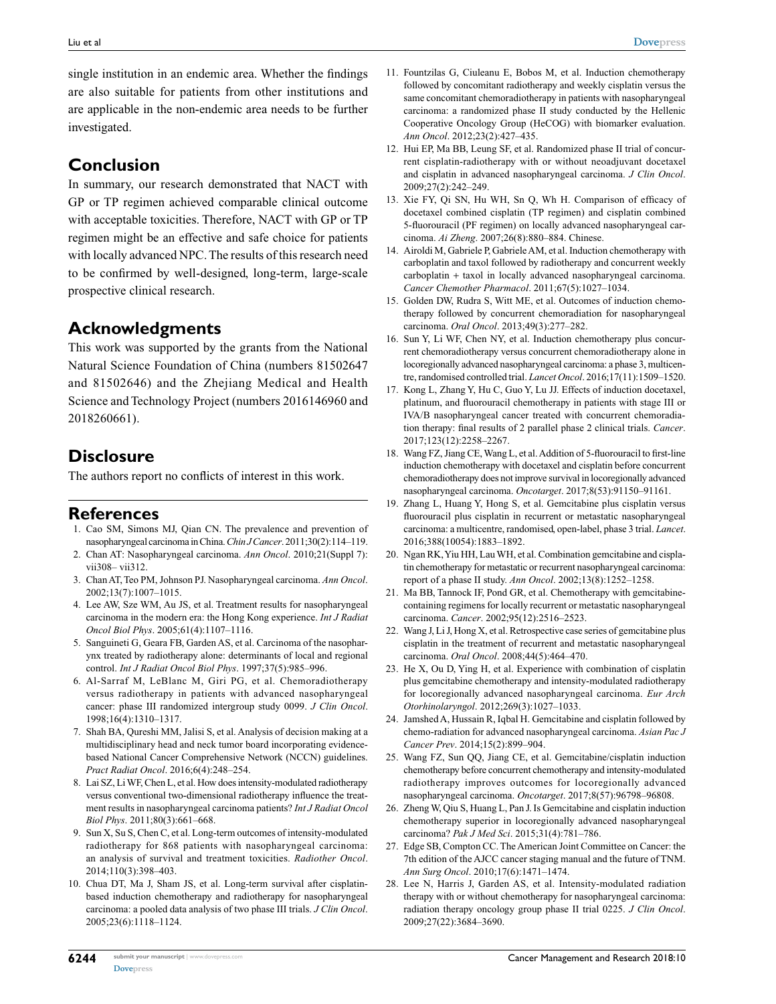single institution in an endemic area. Whether the findings are also suitable for patients from other institutions and are applicable in the non-endemic area needs to be further investigated.

#### **Conclusion**

In summary, our research demonstrated that NACT with GP or TP regimen achieved comparable clinical outcome with acceptable toxicities. Therefore, NACT with GP or TP regimen might be an effective and safe choice for patients with locally advanced NPC. The results of this research need to be confirmed by well-designed, long-term, large-scale prospective clinical research.

## **Acknowledgments**

This work was supported by the grants from the National Natural Science Foundation of China (numbers 81502647 and 81502646) and the Zhejiang Medical and Health Science and Technology Project (numbers 2016146960 and 2018260661).

## **Disclosure**

The authors report no conflicts of interest in this work.

#### **References**

- 1. Cao SM, Simons MJ, Qian CN. The prevalence and prevention of nasopharyngeal carcinoma in China. *Chin J Cancer*. 2011;30(2):114–119.
- 2. Chan AT: Nasopharyngeal carcinoma. *Ann Oncol*. 2010;21(Suppl 7): vii308– vii312.
- 3. Chan AT, Teo PM, Johnson PJ. Nasopharyngeal carcinoma. *Ann Oncol*. 2002;13(7):1007–1015.
- 4. Lee AW, Sze WM, Au JS, et al. Treatment results for nasopharyngeal carcinoma in the modern era: the Hong Kong experience. *Int J Radiat Oncol Biol Phys*. 2005;61(4):1107–1116.
- 5. Sanguineti G, Geara FB, Garden AS, et al. Carcinoma of the nasopharynx treated by radiotherapy alone: determinants of local and regional control. *Int J Radiat Oncol Biol Phys*. 1997;37(5):985–996.
- 6. Al-Sarraf M, LeBlanc M, Giri PG, et al. Chemoradiotherapy versus radiotherapy in patients with advanced nasopharyngeal cancer: phase III randomized intergroup study 0099. *J Clin Oncol*. 1998;16(4):1310–1317.
- 7. Shah BA, Qureshi MM, Jalisi S, et al. Analysis of decision making at a multidisciplinary head and neck tumor board incorporating evidencebased National Cancer Comprehensive Network (NCCN) guidelines. *Pract Radiat Oncol*. 2016;6(4):248–254.
- 8. Lai SZ, Li WF, Chen L, et al. How does intensity-modulated radiotherapy versus conventional two-dimensional radiotherapy influence the treatment results in nasopharyngeal carcinoma patients? *Int J Radiat Oncol Biol Phys*. 2011;80(3):661–668.
- 9. Sun X, Su S, Chen C, et al. Long-term outcomes of intensity-modulated radiotherapy for 868 patients with nasopharyngeal carcinoma: an analysis of survival and treatment toxicities. *Radiother Oncol*. 2014;110(3):398–403.
- 10. Chua DT, Ma J, Sham JS, et al. Long-term survival after cisplatinbased induction chemotherapy and radiotherapy for nasopharyngeal carcinoma: a pooled data analysis of two phase III trials. *J Clin Oncol*. 2005;23(6):1118–1124.
- 11. Fountzilas G, Ciuleanu E, Bobos M, et al. Induction chemotherapy followed by concomitant radiotherapy and weekly cisplatin versus the same concomitant chemoradiotherapy in patients with nasopharyngeal carcinoma: a randomized phase II study conducted by the Hellenic Cooperative Oncology Group (HeCOG) with biomarker evaluation. *Ann Oncol*. 2012;23(2):427–435.
- 12. Hui EP, Ma BB, Leung SF, et al. Randomized phase II trial of concurrent cisplatin-radiotherapy with or without neoadjuvant docetaxel and cisplatin in advanced nasopharyngeal carcinoma. *J Clin Oncol*. 2009;27(2):242–249.
- 13. Xie FY, Qi SN, Hu WH, Sn Q, Wh H. Comparison of efficacy of docetaxel combined cisplatin (TP regimen) and cisplatin combined 5-fluorouracil (PF regimen) on locally advanced nasopharyngeal carcinoma. *Ai Zheng*. 2007;26(8):880–884. Chinese.
- 14. Airoldi M, Gabriele P, Gabriele AM, et al. Induction chemotherapy with carboplatin and taxol followed by radiotherapy and concurrent weekly carboplatin + taxol in locally advanced nasopharyngeal carcinoma. *Cancer Chemother Pharmacol*. 2011;67(5):1027–1034.
- 15. Golden DW, Rudra S, Witt ME, et al. Outcomes of induction chemotherapy followed by concurrent chemoradiation for nasopharyngeal carcinoma. *Oral Oncol*. 2013;49(3):277–282.
- 16. Sun Y, Li WF, Chen NY, et al. Induction chemotherapy plus concurrent chemoradiotherapy versus concurrent chemoradiotherapy alone in locoregionally advanced nasopharyngeal carcinoma: a phase 3, multicentre, randomised controlled trial. *Lancet Oncol*. 2016;17(11):1509–1520.
- 17. Kong L, Zhang Y, Hu C, Guo Y, Lu JJ. Effects of induction docetaxel, platinum, and fluorouracil chemotherapy in patients with stage III or IVA/B nasopharyngeal cancer treated with concurrent chemoradiation therapy: final results of 2 parallel phase 2 clinical trials. *Cancer*. 2017;123(12):2258–2267.
- 18. Wang FZ, Jiang CE, Wang L, et al. Addition of 5-fluorouracil to first-line induction chemotherapy with docetaxel and cisplatin before concurrent chemoradiotherapy does not improve survival in locoregionally advanced nasopharyngeal carcinoma. *Oncotarget*. 2017;8(53):91150–91161.
- 19. Zhang L, Huang Y, Hong S, et al. Gemcitabine plus cisplatin versus fluorouracil plus cisplatin in recurrent or metastatic nasopharyngeal carcinoma: a multicentre, randomised, open-label, phase 3 trial. *Lancet*. 2016;388(10054):1883–1892.
- 20. Ngan RK, Yiu HH, Lau WH, et al. Combination gemcitabine and cisplatin chemotherapy for metastatic or recurrent nasopharyngeal carcinoma: report of a phase II study. *Ann Oncol*. 2002;13(8):1252–1258.
- 21. Ma BB, Tannock IF, Pond GR, et al. Chemotherapy with gemcitabinecontaining regimens for locally recurrent or metastatic nasopharyngeal carcinoma. *Cancer*. 2002;95(12):2516–2523.
- 22. Wang J, Li J, Hong X, et al. Retrospective case series of gemcitabine plus cisplatin in the treatment of recurrent and metastatic nasopharyngeal carcinoma. *Oral Oncol*. 2008;44(5):464–470.
- 23. He X, Ou D, Ying H, et al. Experience with combination of cisplatin plus gemcitabine chemotherapy and intensity-modulated radiotherapy for locoregionally advanced nasopharyngeal carcinoma. *Eur Arch Otorhinolaryngol*. 2012;269(3):1027–1033.
- 24. Jamshed A, Hussain R, Iqbal H. Gemcitabine and cisplatin followed by chemo-radiation for advanced nasopharyngeal carcinoma. *Asian Pac J Cancer Prev*. 2014;15(2):899–904.
- 25. Wang FZ, Sun QQ, Jiang CE, et al. Gemcitabine/cisplatin induction chemotherapy before concurrent chemotherapy and intensity-modulated radiotherapy improves outcomes for locoregionally advanced nasopharyngeal carcinoma. *Oncotarget*. 2017;8(57):96798–96808.
- 26. Zheng W, Qiu S, Huang L, Pan J. Is Gemcitabine and cisplatin induction chemotherapy superior in locoregionally advanced nasopharyngeal carcinoma? *Pak J Med Sci*. 2015;31(4):781–786.
- 27. Edge SB, Compton CC. The American Joint Committee on Cancer: the 7th edition of the AJCC cancer staging manual and the future of TNM. *Ann Surg Oncol*. 2010;17(6):1471–1474.
- 28. Lee N, Harris J, Garden AS, et al. Intensity-modulated radiation therapy with or without chemotherapy for nasopharyngeal carcinoma: radiation therapy oncology group phase II trial 0225. *J Clin Oncol*. 2009;27(22):3684–3690.